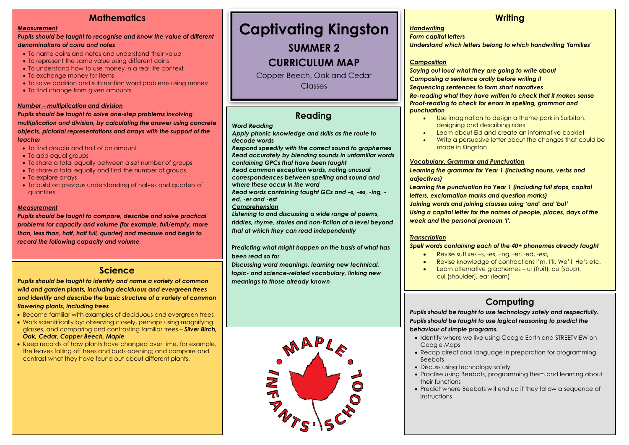# **Mathematics**

#### *Measurement*

#### *Pupils should be taught to recognise and know the value of different denominations of coins and notes*

- To name coins and notes and understand their value
- To represent the same value using different coins
- To understand how to use money in a real-life context
- To exchange money for items
- To solve addition and subtraction word problems using money
- To find change from given amounts

#### *Number – multiplication and division*

*Pupils should be taught to solve one-step problems involving multiplication and division, by calculating the answer using concrete objects, pictorial representations and arrays with the support of the teacher*

- To find double and half of an amount
- To add equal groups
- To share a total equally between a set number of groups
- To share a total equally and find the number of groups
- To explore arrays
- To build on previous understanding of halves and quarters of quantites

#### *Measurement*

*Pupils should be taught to compare, describe and solve practical problems for capacity and volume [for example, full/empty, more than, less than, half, half full, quarter] and measure and begin to record the following capacity and volume*

### **Science**

*Pupils should be taught to identify and name a variety of common wild and garden plants, including deciduous and evergreen trees and identify and describe the basic structure of a variety of common flowering plants, including trees*

- Become familiar with examples of deciduous and evergreen trees
- Work scientifically by: observing closely, perhaps using magnifying glasses, and comparing and contrasting familiar trees – *Silver Birch, Oak, Cedar, Copper Beech, Maple*
- Keep records of how plants have changed over time, for example, the leaves falling off trees and buds opening; and compare and contrast what they have found out about different plants.

# **Captivating Kingston**

**SUMMER 2**

# **CURRICULUM MAP**

Copper Beech, Oak and Cedar Classes

# **Reading**

#### *Word Reading*

- *Apply phonic knowledge and skills as the route to decode words*
- *Respond speedily with the correct sound to graphemes Read accurately by blending sounds in unfamiliar words*

*containing GPCs that have been taught Read common exception words, noting unusual* 

*correspondences between spelling and sound and* 

*where these occur in the word*

*Read words containing taught GCs and –s, -es, -ing, ed, -er and -est*

- *Comprehension*
- *Listening to and discussing a wide range of poems,*
- *riddles, rhyme, stories and non-fiction at a level beyond that at which they can read independently*

*Predicting what might happen on the basis of what has been read so far*

*Discussing word meanings, learning new technical, topic- and science-related vocabulary, linking new meanings to those already known*



### **Writing**

#### *Handwriting*

*Form capital letters*

*Understand which letters belong to which handwriting 'families'*

#### *Composition*

*Saying out loud what they are going to write about Composing a sentence orally before writing it Sequencing sentences to form short narratives*

*Re-reading what they have written to check that it makes sense Proof-reading to check for errors in spelling, grammar and punctuation*

- Use imagination to design a theme park in Surbiton, designing and describing rides
- Learn about Eid and create an informative booklet
- Write a persuasive letter about the changes that could be made in Kingston

#### *Vocabulary, Grammar and Punctuation*

*Learning the grammar for Year 1 (including nouns, verbs and adjectives)*

*Learning the punctuation fro Year 1 (including full stops, capital letters, exclamation marks and question marks) Joining words and joining clauses using 'and' and 'but' Using a capital letter for the names of people, places, days of the week and the personal pronoun 'I'.*

#### *Transcription*

#### *Spell words containing each of the 40+ phonemes already taught*

- Revise suffixes –s, -es, -ing, -er, -ed, -est*,*
- Revise knowledge of contractions I'm, I'll, We'll, He's etc.
- Learn alternative graphemes ui (fruit), ou (soup), oul (shoulder), ear (learn)

# **Computing**

*Pupils should be taught to use technology safely and respectfully. Pupils should be taught to use logical reasoning to predict the behaviour of simple programs.*

- Identify where we live using Google Earth and STREETVIEW on Google Maps
- Recap directional language in preparation for programming Beebots
- Discuss using technology safely
- Practise using Beebots, programming them and learning about their functions
- Predict where Beebots will end up if they follow a sequence of instructions